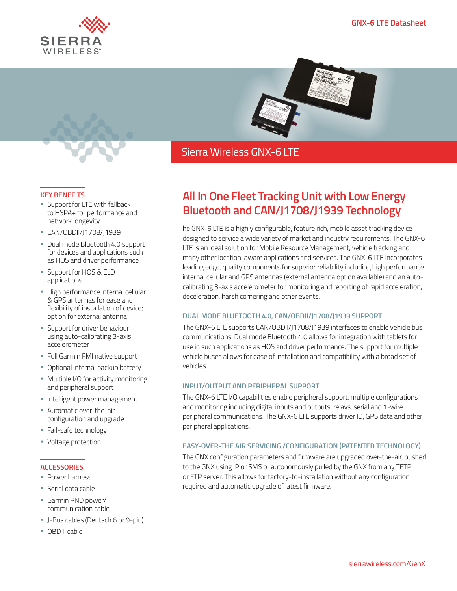



## Sierra Wireless GNX-6 LTE

#### **KEY BENEFITS**

- Support for LTE with fallback to HSPA+ for performance and network longevity.
- CAN/OBDII/J1708/J1939
- Dual mode Bluetooth 4.0 support for devices and applications such as HOS and driver performance
- Support for HOS & ELD applications
- High performance internal cellular & GPS antennas for ease and flexibility of installation of device; option for external antenna
- **Support for driver behaviour** using auto-calibrating 3-axis accelerometer
- Full Garmin FMI native support
- Optional internal backup battery
- Multiple I/O for activity monitoring and peripheral support
- Intelligent power management
- Automatic over-the-air configuration and upgrade
- Fail-safe technology
- Voltage protection

### **ACCESSORIES**

- Power harness
- Serial data cable
- Garmin PND power/ communication cable
- J-Bus cables (Deutsch 6 or 9-pin)
- OBD II cable

# **All In One Fleet Tracking Unit with Low Energy Bluetooth and CAN/J1708/J1939 Technology**

he GNX-6 LTE is a highly configurable, feature rich, mobile asset tracking device designed to service a wide variety of market and industry requirements. The GNX-6 LTE is an ideal solution for Mobile Resource Management, vehicle tracking and many other location-aware applications and services. The GNX-6 LTE incorporates leading edge, quality components for superior reliability including high performance internal cellular and GPS antennas (external antenna option available) and an autocalibrating 3-axis accelerometer for monitoring and reporting of rapid acceleration, deceleration, harsh cornering and other events.

### **DUAL MODE BLUETOOTH 4.0, CAN/OBDII/J1708/J1939 SUPPORT**

The GNX-6 LTE supports CAN/OBDII/J1708/J1939 interfaces to enable vehicle bus communications. Dual mode Bluetooth 4.0 allows for integration with tablets for use in such applications as HOS and driver performance. The support for multiple vehicle buses allows for ease of installation and compatibility with a broad set of vehicles.

### **INPUT/OUTPUT AND PERIPHERAL SUPPORT**

The GNX-6 LTE I/O capabilities enable peripheral support, multiple configurations and monitoring including digital inputs and outputs, relays, serial and 1-wire peripheral communications. The GNX-6 LTE supports driver ID, GPS data and other peripheral applications.

### **EASY-OVER-THE AIR SERVICING /CONFIGURATION (PATENTED TECHNOLOGY)**

The GNX configuration parameters and firmware are upgraded over-the-air, pushed to the GNX using IP or SMS or autonomously pulled by the GNX from any TFTP or FTP server. This allows for factory-to-installation without any configuration required and automatic upgrade of latest firmware.